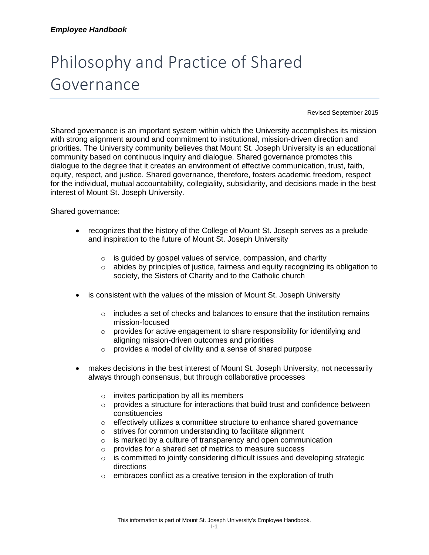## Philosophy and Practice of Shared Governance

Revised September 2015

Shared governance is an important system within which the University accomplishes its mission with strong alignment around and commitment to institutional, mission-driven direction and priorities. The University community believes that Mount St. Joseph University is an educational community based on continuous inquiry and dialogue. Shared governance promotes this dialogue to the degree that it creates an environment of effective communication, trust, faith, equity, respect, and justice. Shared governance, therefore, fosters academic freedom, respect for the individual, mutual accountability, collegiality, subsidiarity, and decisions made in the best interest of Mount St. Joseph University.

Shared governance:

- recognizes that the history of the College of Mount St. Joseph serves as a prelude and inspiration to the future of Mount St. Joseph University
	- $\circ$  is guided by gospel values of service, compassion, and charity
	- $\circ$  abides by principles of justice, fairness and equity recognizing its obligation to society, the Sisters of Charity and to the Catholic church
- is consistent with the values of the mission of Mount St. Joseph University
	- $\circ$  includes a set of checks and balances to ensure that the institution remains mission-focused
	- o provides for active engagement to share responsibility for identifying and aligning mission-driven outcomes and priorities
	- o provides a model of civility and a sense of shared purpose
- makes decisions in the best interest of Mount St. Joseph University, not necessarily always through consensus, but through collaborative processes
	- $\circ$  invites participation by all its members
	- $\circ$  provides a structure for interactions that build trust and confidence between constituencies
	- $\circ$  effectively utilizes a committee structure to enhance shared governance
	- o strives for common understanding to facilitate alignment
	- o is marked by a culture of transparency and open communication
	- o provides for a shared set of metrics to measure success
	- $\circ$  is committed to jointly considering difficult issues and developing strategic directions
	- $\circ$  embraces conflict as a creative tension in the exploration of truth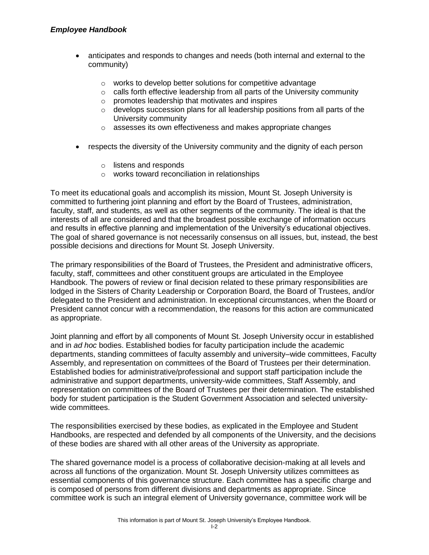- anticipates and responds to changes and needs (both internal and external to the community)
	- o works to develop better solutions for competitive advantage
	- $\circ$  calls forth effective leadership from all parts of the University community
	- o promotes leadership that motivates and inspires
	- $\circ$  develops succession plans for all leadership positions from all parts of the University community
	- o assesses its own effectiveness and makes appropriate changes
- respects the diversity of the University community and the dignity of each person
	- o listens and responds
	- o works toward reconciliation in relationships

To meet its educational goals and accomplish its mission, Mount St. Joseph University is committed to furthering joint planning and effort by the Board of Trustees, administration, faculty, staff, and students, as well as other segments of the community. The ideal is that the interests of all are considered and that the broadest possible exchange of information occurs and results in effective planning and implementation of the University's educational objectives. The goal of shared governance is not necessarily consensus on all issues, but, instead, the best possible decisions and directions for Mount St. Joseph University.

The primary responsibilities of the Board of Trustees, the President and administrative officers, faculty, staff, committees and other constituent groups are articulated in the Employee Handbook. The powers of review or final decision related to these primary responsibilities are lodged in the Sisters of Charity Leadership or Corporation Board, the Board of Trustees, and/or delegated to the President and administration. In exceptional circumstances, when the Board or President cannot concur with a recommendation, the reasons for this action are communicated as appropriate.

Joint planning and effort by all components of Mount St. Joseph University occur in established and in *ad hoc* bodies. Established bodies for faculty participation include the academic departments, standing committees of faculty assembly and university–wide committees, Faculty Assembly, and representation on committees of the Board of Trustees per their determination. Established bodies for administrative/professional and support staff participation include the administrative and support departments, university-wide committees, Staff Assembly, and representation on committees of the Board of Trustees per their determination. The established body for student participation is the Student Government Association and selected universitywide committees.

The responsibilities exercised by these bodies, as explicated in the Employee and Student Handbooks, are respected and defended by all components of the University, and the decisions of these bodies are shared with all other areas of the University as appropriate.

The shared governance model is a process of collaborative decision-making at all levels and across all functions of the organization. Mount St. Joseph University utilizes committees as essential components of this governance structure. Each committee has a specific charge and is composed of persons from different divisions and departments as appropriate. Since committee work is such an integral element of University governance, committee work will be